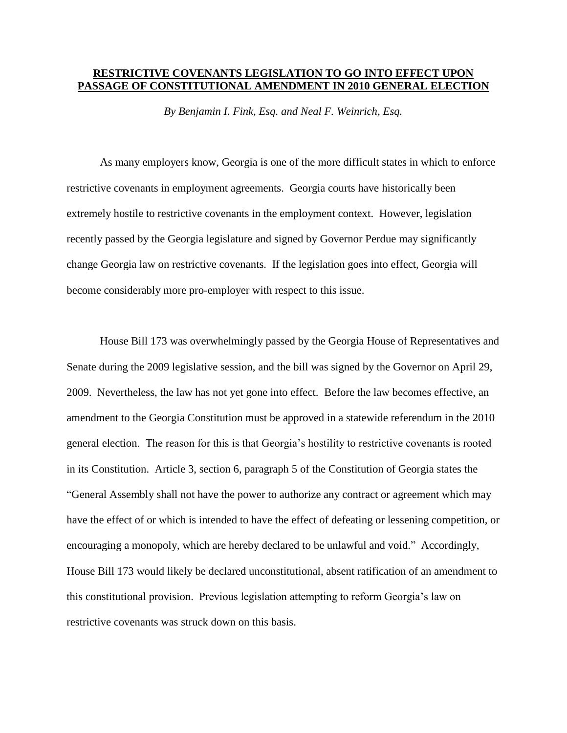## **RESTRICTIVE COVENANTS LEGISLATION TO GO INTO EFFECT UPON PASSAGE OF CONSTITUTIONAL AMENDMENT IN 2010 GENERAL ELECTION**

*By Benjamin I. Fink, Esq. and Neal F. Weinrich, Esq.*

As many employers know, Georgia is one of the more difficult states in which to enforce restrictive covenants in employment agreements. Georgia courts have historically been extremely hostile to restrictive covenants in the employment context. However, legislation recently passed by the Georgia legislature and signed by Governor Perdue may significantly change Georgia law on restrictive covenants. If the legislation goes into effect, Georgia will become considerably more pro-employer with respect to this issue.

House Bill 173 was overwhelmingly passed by the Georgia House of Representatives and Senate during the 2009 legislative session, and the bill was signed by the Governor on April 29, 2009. Nevertheless, the law has not yet gone into effect. Before the law becomes effective, an amendment to the Georgia Constitution must be approved in a statewide referendum in the 2010 general election. The reason for this is that Georgia's hostility to restrictive covenants is rooted in its Constitution. Article 3, section 6, paragraph 5 of the Constitution of Georgia states the "General Assembly shall not have the power to authorize any contract or agreement which may have the effect of or which is intended to have the effect of defeating or lessening competition, or encouraging a monopoly, which are hereby declared to be unlawful and void." Accordingly, House Bill 173 would likely be declared unconstitutional, absent ratification of an amendment to this constitutional provision. Previous legislation attempting to reform Georgia's law on restrictive covenants was struck down on this basis.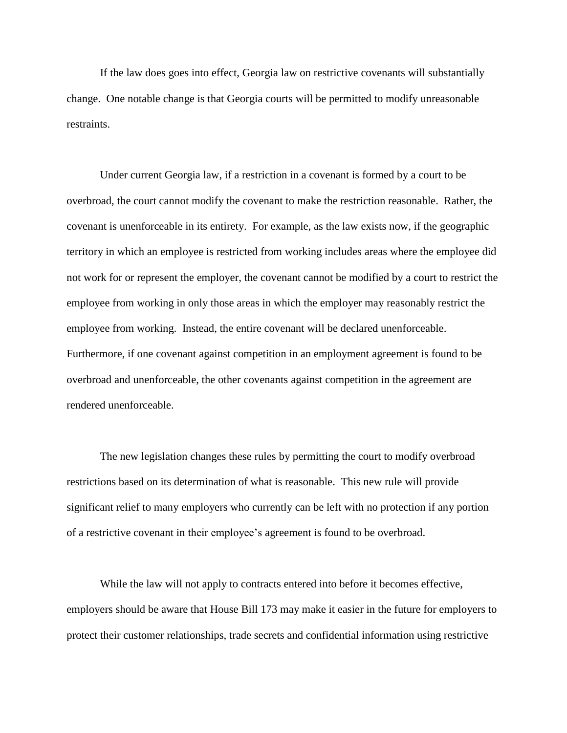If the law does goes into effect, Georgia law on restrictive covenants will substantially change. One notable change is that Georgia courts will be permitted to modify unreasonable restraints.

Under current Georgia law, if a restriction in a covenant is formed by a court to be overbroad, the court cannot modify the covenant to make the restriction reasonable. Rather, the covenant is unenforceable in its entirety. For example, as the law exists now, if the geographic territory in which an employee is restricted from working includes areas where the employee did not work for or represent the employer, the covenant cannot be modified by a court to restrict the employee from working in only those areas in which the employer may reasonably restrict the employee from working. Instead, the entire covenant will be declared unenforceable. Furthermore, if one covenant against competition in an employment agreement is found to be overbroad and unenforceable, the other covenants against competition in the agreement are rendered unenforceable.

The new legislation changes these rules by permitting the court to modify overbroad restrictions based on its determination of what is reasonable. This new rule will provide significant relief to many employers who currently can be left with no protection if any portion of a restrictive covenant in their employee's agreement is found to be overbroad.

While the law will not apply to contracts entered into before it becomes effective, employers should be aware that House Bill 173 may make it easier in the future for employers to protect their customer relationships, trade secrets and confidential information using restrictive